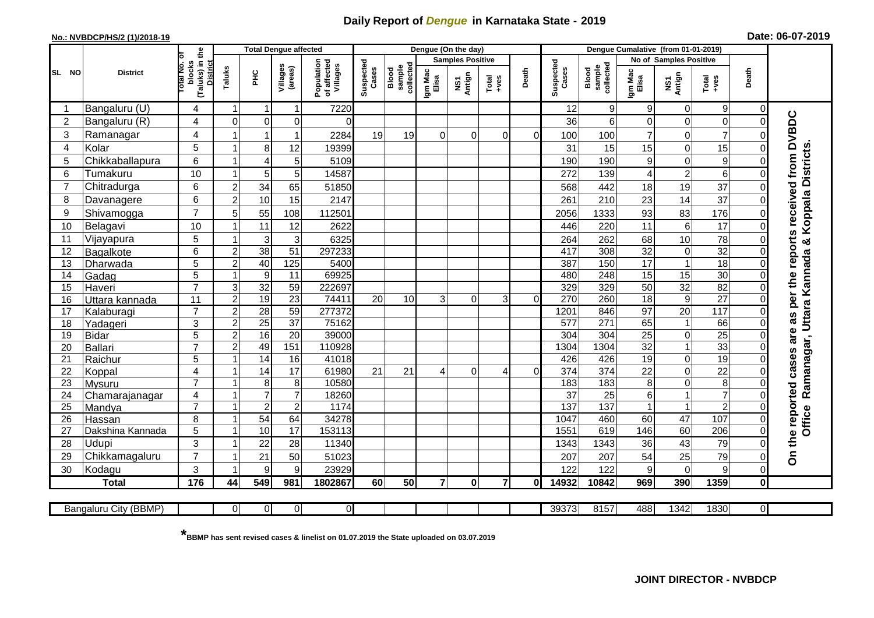## **Daily Report of** *Dengue* **in Karnataka State - 2019**

## **No.: NVBDCP/HS/2 (1)/2018-19 Date: 06-07-2019**

|                 |                       |                                                             | <b>Total Dengue affected</b> |                  |                       |                                       |                    |                              |                  | Dengue (On the day)     |                  |          |                    |                              |                  |                               |                     |                            |                                                                  |
|-----------------|-----------------------|-------------------------------------------------------------|------------------------------|------------------|-----------------------|---------------------------------------|--------------------|------------------------------|------------------|-------------------------|------------------|----------|--------------------|------------------------------|------------------|-------------------------------|---------------------|----------------------------|------------------------------------------------------------------|
|                 |                       |                                                             |                              |                  |                       |                                       |                    |                              |                  | <b>Samples Positive</b> |                  |          |                    |                              |                  | <b>No of Samples Positive</b> |                     |                            |                                                                  |
| SL NO           | <b>District</b>       | (Taluks) in the<br>otal No. of<br>blocks<br><b>District</b> | Taluks                       | <b>PHC</b>       | Villages<br>(areas)   | Population<br>of affected<br>Villages | Suspected<br>Cases | sample<br>collected<br>Blood | Igm Mac<br>Elisa | NS1<br>Antign           | $Tota$<br>$+ves$ | Death    | Suspected<br>Cases | collected<br>sample<br>Blood | Igm Mac<br>Elisa | NS1<br>Antign                 | $Tota$<br>$+ves$    | Death                      |                                                                  |
|                 | Bangaluru (U)         | 4                                                           | -1                           | -1               | 1                     | 7220                                  |                    |                              |                  |                         |                  |          | 12                 | $\mathsf g$                  | 9                | 0                             | 9                   | 0                          |                                                                  |
| $\overline{2}$  | Bangaluru (R)         | 4                                                           | $\mathbf 0$                  | $\mathbf 0$      | 0                     | $\Omega$                              |                    |                              |                  |                         |                  |          | 36                 | $6\phantom{1}$               | 0                | 0                             | $\mathsf{O}\xspace$ | $\mathbf 0$                |                                                                  |
| 3               | Ramanagar             | 4                                                           |                              |                  | 1                     | 2284                                  | 19                 | 19                           | 0                | $\Omega$                | 0                | $\Omega$ | 100                | 100                          | $\overline{7}$   | 0                             | $\overline{7}$      | $\mathcal{C}$              |                                                                  |
| $\overline{4}$  | Kolar                 | 5                                                           |                              | 8                | 12                    | 19399                                 |                    |                              |                  |                         |                  |          | 31                 | 15                           | 15               | $\mathbf 0$                   | 15                  | $\Omega$                   |                                                                  |
| 5               | Chikkaballapura       | $6\phantom{1}$                                              | $\overline{1}$               | $\overline{4}$   | 5                     | 5109                                  |                    |                              |                  |                         |                  |          | 190                | 190                          | 9                | 0                             | $\overline{9}$      | $\Omega$                   |                                                                  |
| 6               | Tumakuru              | 10                                                          |                              | 5                | 5                     | 14587                                 |                    |                              |                  |                         |                  |          | 272                | 139                          | 4                | $\overline{\mathbf{c}}$       | 6                   | $\Omega$                   |                                                                  |
| 7               | Chitradurga           | $6\phantom{1}$                                              | $\overline{2}$               | 34               | 65                    | 51850                                 |                    |                              |                  |                         |                  |          | 568                | 442                          | 18               | 19                            | 37                  | $\mathbf 0$                |                                                                  |
| 8               | Davanagere            | $6\phantom{1}$                                              | $\overline{2}$               | 10               | 15                    | 2147                                  |                    |                              |                  |                         |                  |          | 261                | 210                          | 23               | 14                            | $\overline{37}$     | $\Omega$                   |                                                                  |
| 9               | Shivamogga            | $\overline{7}$                                              | 5                            | 55               | 108                   | 112501                                |                    |                              |                  |                         |                  |          | 2056               | 1333                         | 93               | 83                            | 176                 | $\Omega$                   | Koppala Districts                                                |
| 10              | Belagavi              | 10                                                          |                              | 11               | 12                    | 2622                                  |                    |                              |                  |                         |                  |          | 446                | 220                          | 11               | $\,6\,$                       | 17                  | $\Omega$                   |                                                                  |
| 11              | Vijayapura            | 5                                                           |                              | $\mathbf{3}$     | 3                     | 6325                                  |                    |                              |                  |                         |                  |          | 264                | 262                          | 68               | 10                            | 78                  | $\Omega$                   |                                                                  |
| 12              | Bagalkote             | $6\phantom{1}$                                              | $\overline{2}$               | 38               | 51                    | 297233                                |                    |                              |                  |                         |                  |          | 417                | 308                          | 32               | $\boldsymbol{0}$              | 32                  | $\mathbf 0$                | Ramanagar, Uttara Kannada &                                      |
| 13              | Dharwada              | $\overline{5}$                                              | $\overline{2}$               | 40               | 125                   | 5400                                  |                    |                              |                  |                         |                  |          | 387                | 150                          | 17               | $\overline{1}$                | 18                  | $\overline{0}$             |                                                                  |
| 14              | Gadag                 | 5                                                           |                              | $\boldsymbol{9}$ | 11                    | 69925                                 |                    |                              |                  |                         |                  |          | 480                | 248                          | 15               | 15                            | 30                  | $\Omega$                   |                                                                  |
| 15              | Haveri                | $\overline{7}$                                              | 3                            | 32               | 59                    | 222697                                |                    |                              |                  |                         |                  |          | 329                | 329                          | 50               | 32                            | 82                  | $\mathbf 0$                |                                                                  |
| 16              | Uttara kannada        | 11                                                          | $\overline{2}$               | $\overline{19}$  | $\overline{23}$       | 74411                                 | 20                 | 10                           | 3                | $\Omega$                | $\overline{3}$   | $\Omega$ | 270                | 260                          | $\overline{18}$  | $\boldsymbol{9}$              | $\overline{27}$     | $\mathbf 0$                |                                                                  |
| 17              | Kalaburagi            | $\overline{7}$                                              | $\overline{2}$               | $\overline{28}$  | 59                    | 277372                                |                    |                              |                  |                         |                  |          | 1201               | 846                          | $\overline{97}$  | $\overline{20}$               | 117                 | $\Omega$                   |                                                                  |
| 18              | Yadageri              | 3                                                           | $\overline{2}$               | $\overline{25}$  | $\overline{37}$       | 75162                                 |                    |                              |                  |                         |                  |          | 577                | 271                          | 65               | $\mathbf{1}$                  | 66                  | $\Omega$                   |                                                                  |
| 19              | Bidar                 | 5                                                           | $\overline{2}$               | 16               | $\overline{20}$       | 39000                                 |                    |                              |                  |                         |                  |          | 304                | 304                          | 25               | 0                             | $\overline{25}$     | $\mathbf 0$                |                                                                  |
| 20              | Ballari               | $\overline{7}$                                              | $\overline{2}$               | 49               | 151                   | 110928                                |                    |                              |                  |                         |                  |          | 1304               | 1304                         | 32               | 1                             | 33                  | $\Omega$                   |                                                                  |
| 21              | Raichur               | 5                                                           |                              | 14               | 16                    | 41018                                 |                    |                              |                  |                         |                  |          | 426                | 426                          | $\overline{19}$  | 0                             | 19                  | $\mathbf 0$                |                                                                  |
| 22              | Koppal                | $\overline{\mathbf{4}}$                                     |                              | 14               | 17                    | 61980                                 | 21                 | 21                           | $\Delta$         | $\Omega$                | 4                | $\Omega$ | $\overline{374}$   | 374                          | $\overline{22}$  | $\overline{0}$                | $\overline{22}$     | $\Omega$                   |                                                                  |
| 23              | Mysuru                | $\overline{7}$                                              |                              | 8                | 8                     | 10580                                 |                    |                              |                  |                         |                  |          | 183                | 183                          | 8                | 0                             | $\overline{8}$      | $\Omega$                   |                                                                  |
| 24              | Chamarajanagar        | $\overline{4}$                                              | $\overline{1}$               | $\overline{7}$   | $\overline{7}$        | 18260                                 |                    |                              |                  |                         |                  |          | $\overline{37}$    | 25                           | 6                | 1                             | $\overline{7}$      | $\mathbf 0$                |                                                                  |
| $\overline{25}$ | Mandya                | $\overline{7}$                                              |                              | $\overline{2}$   | $\overline{2}$        | 1174                                  |                    |                              |                  |                         |                  |          | 137                | 137                          |                  | $\overline{1}$                | $\overline{2}$      | 0                          | Office                                                           |
| 26              | Hassan                | 8                                                           | $\overline{\mathbf{1}}$      | 54               | 64<br>$\overline{17}$ | 34278<br>153113                       |                    |                              |                  |                         |                  |          | 1047<br>1551       | 460<br>619                   | 60               | 47                            | 107                 | $\mathbf 0$<br>$\mathbf 0$ |                                                                  |
| 27              | Dakshina Kannada      | $\overline{5}$                                              |                              | 10               |                       |                                       |                    |                              |                  |                         |                  |          |                    |                              | 146              | 60                            | 206                 |                            |                                                                  |
| 28              | <b>Udupi</b>          | 3<br>$\overline{7}$                                         |                              | 22               | 28                    | 11340                                 |                    |                              |                  |                         |                  |          | 1343               | 1343                         | 36               | 43                            | 79                  | $\Omega$                   | On the reported cases are as per the reports received from DVBDC |
| 29              | Chikkamagaluru        |                                                             |                              | 21               | 50                    | 51023                                 |                    |                              |                  |                         |                  |          | 207                | 207                          | 54               | 25                            | 79                  | $\Omega$                   |                                                                  |
| 30              | Kodagu                | $\mathbf{3}$                                                |                              | 9                | 9                     | 23929                                 |                    |                              | $\overline{7}$   |                         | $\overline{7}$   |          | 122                | 122                          | 9                | 0                             | 9                   | $\Omega$                   |                                                                  |
|                 | <b>Total</b>          | 176                                                         | 44                           | 549              | 981                   | 1802867                               | 60                 | 50                           |                  | $\mathbf{0}$            |                  | 0I       | 14932              | 10842                        | 969              | 390                           | 1359                | $\mathbf 0$                |                                                                  |
|                 | Bangaluru City (BBMP) |                                                             | $\overline{0}$               | $\overline{0}$   | $\overline{0}$        | $\overline{0}$                        |                    |                              |                  |                         |                  |          | 39373              | 8157                         | 488              | 1342                          | 1830                | $\overline{0}$             |                                                                  |

**\* BBMP has sent revised cases & linelist on 01.07.2019 the State uploaded on 03.07.2019**